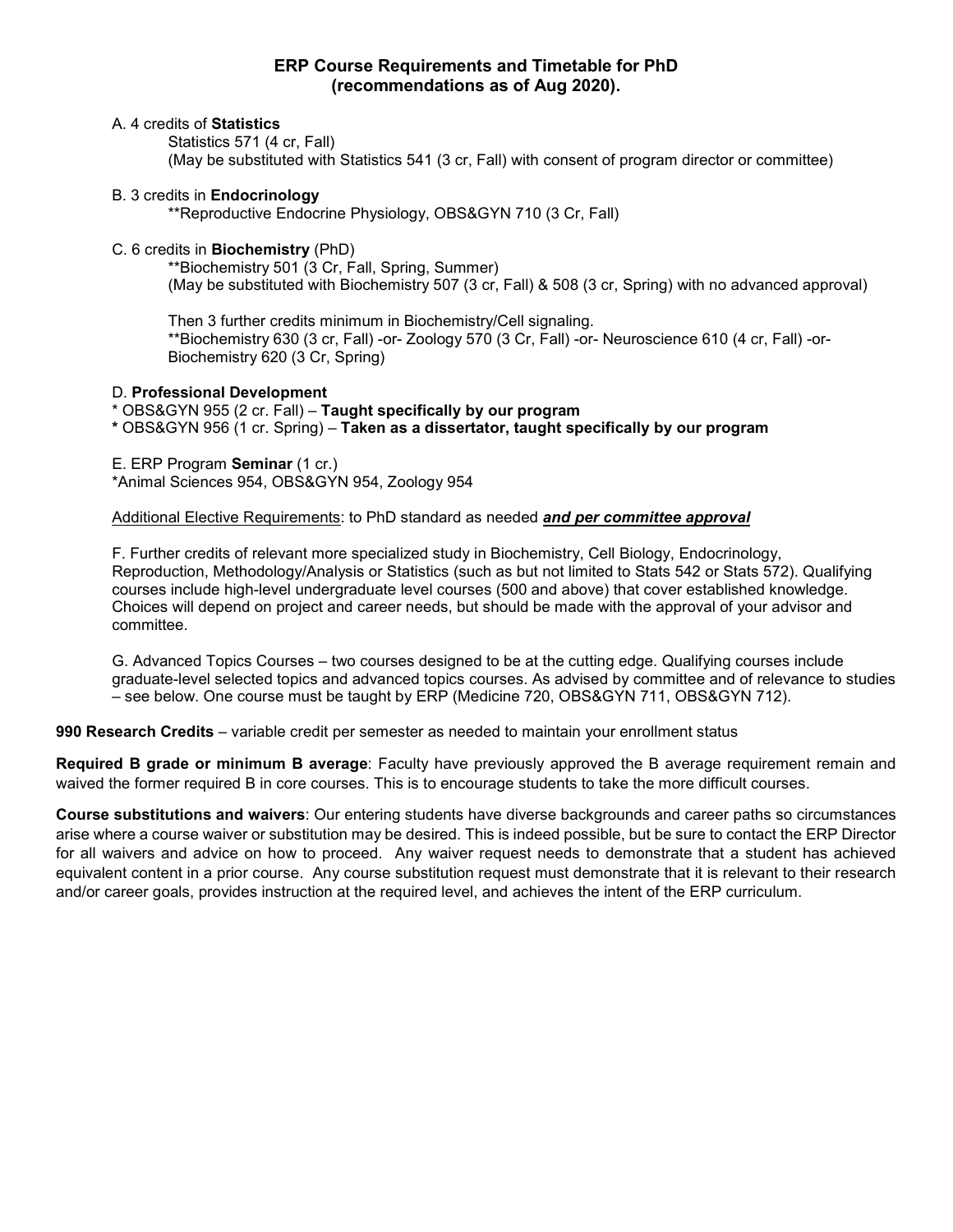## **ERP Course Requirements and Timetable for PhD (recommendations as of Aug 2020).**

#### A. 4 credits of **Statistics**

Statistics 571 (4 cr, Fall) (May be substituted with Statistics 541 (3 cr, Fall) with consent of program director or committee)

### B. 3 credits in **Endocrinology**

\*\*Reproductive Endocrine Physiology, OBS&GYN 710 (3 Cr, Fall)

## C. 6 credits in **Biochemistry** (PhD)

\*\*Biochemistry 501 (3 Cr, Fall, Spring, Summer) (May be substituted with Biochemistry 507 (3 cr, Fall) & 508 (3 cr, Spring) with no advanced approval)

Then 3 further credits minimum in Biochemistry/Cell signaling. \*\*Biochemistry 630 (3 cr, Fall) -or- Zoology 570 (3 Cr, Fall) -or- Neuroscience 610 (4 cr, Fall) -or-Biochemistry 620 (3 Cr, Spring)

#### D. **Professional Development**

## \* OBS&GYN 955 (2 cr. Fall) – **Taught specifically by our program**

**\*** OBS&GYN 956 (1 cr. Spring) – **Taken as a dissertator, taught specifically by our program**

E. ERP Program **Seminar** (1 cr.)

\*Animal Sciences 954, OBS&GYN 954, Zoology 954

### Additional Elective Requirements: to PhD standard as needed *and per committee approval*

F. Further credits of relevant more specialized study in Biochemistry, Cell Biology, Endocrinology, Reproduction, Methodology/Analysis or Statistics (such as but not limited to Stats 542 or Stats 572). Qualifying courses include high-level undergraduate level courses (500 and above) that cover established knowledge. Choices will depend on project and career needs, but should be made with the approval of your advisor and committee.

G. Advanced Topics Courses – two courses designed to be at the cutting edge. Qualifying courses include graduate-level selected topics and advanced topics courses. As advised by committee and of relevance to studies – see below. One course must be taught by ERP (Medicine 720, OBS&GYN 711, OBS&GYN 712).

**990 Research Credits** – variable credit per semester as needed to maintain your enrollment status

**Required B grade or minimum B average**: Faculty have previously approved the B average requirement remain and waived the former required B in core courses. This is to encourage students to take the more difficult courses.

**Course substitutions and waivers**: Our entering students have diverse backgrounds and career paths so circumstances arise where a course waiver or substitution may be desired. This is indeed possible, but be sure to contact the ERP Director for all waivers and advice on how to proceed. Any waiver request needs to demonstrate that a student has achieved equivalent content in a prior course. Any course substitution request must demonstrate that it is relevant to their research and/or career goals, provides instruction at the required level, and achieves the intent of the ERP curriculum.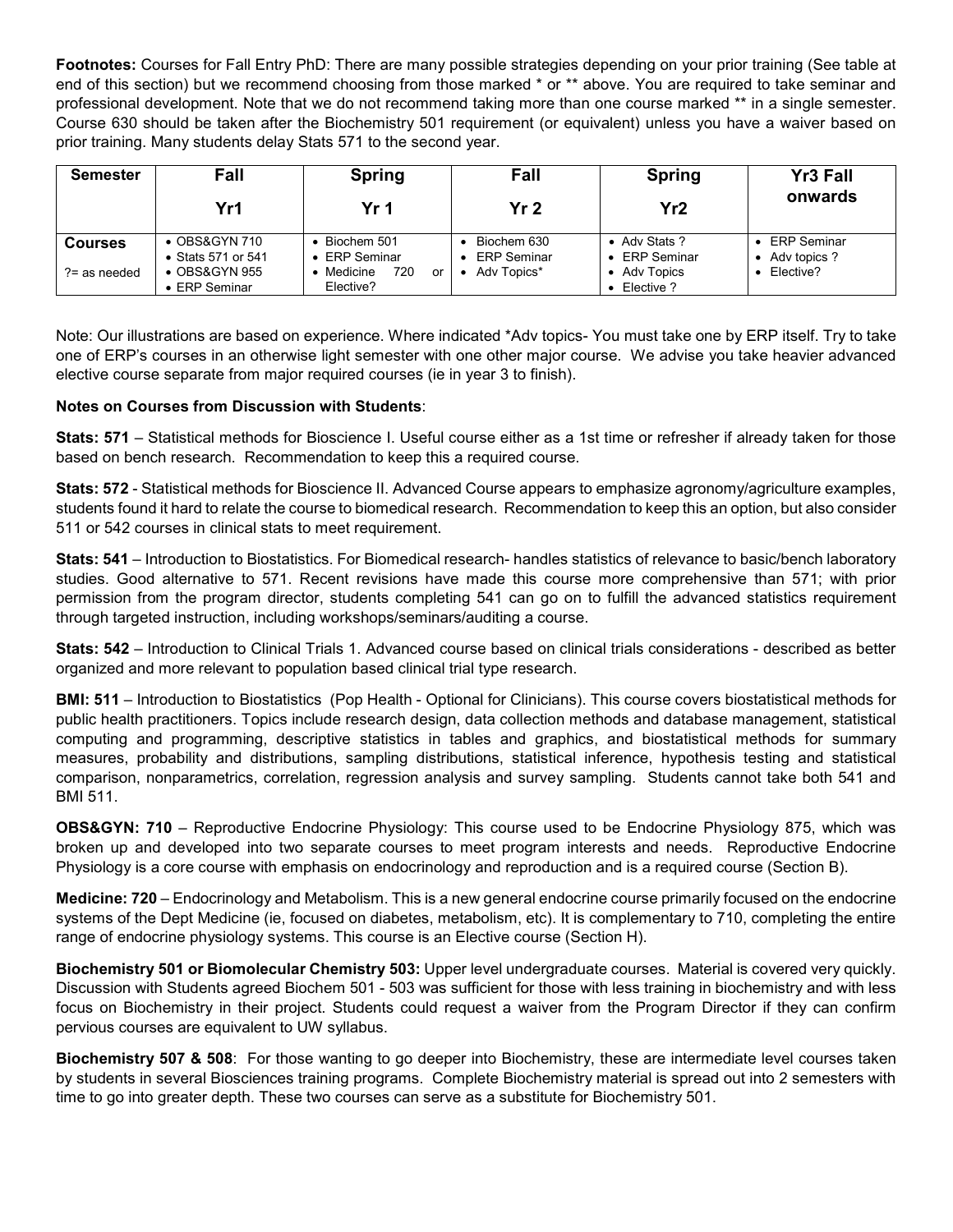**Footnotes:** Courses for Fall Entry PhD: There are many possible strategies depending on your prior training (See table at end of this section) but we recommend choosing from those marked \* or \*\* above. You are required to take seminar and professional development. Note that we do not recommend taking more than one course marked \*\* in a single semester. Course 630 should be taken after the Biochemistry 501 requirement (or equivalent) unless you have a waiver based on prior training. Many students delay Stats 571 to the second year.

| Semester                          | Fall                                                                                          | <b>Spring</b>                                                                  | Fall                                             | <b>Spring</b>                                                                     | <b>Yr3 Fall</b>                                 |
|-----------------------------------|-----------------------------------------------------------------------------------------------|--------------------------------------------------------------------------------|--------------------------------------------------|-----------------------------------------------------------------------------------|-------------------------------------------------|
|                                   | Yr1                                                                                           | Yr 1                                                                           | Yr <sub>2</sub>                                  | Yr2                                                                               | onwards                                         |
| <b>Courses</b><br>$? =$ as needed | $\bullet$ OBS&GYN 710<br>• Stats 571 or 541<br>$\bullet$ OBS&GYN 955<br>$\bullet$ ERP Seminar | $\bullet$ Biochem 501<br>• ERP Seminar<br>• Medicine<br>720<br>or<br>Elective? | Biochem 630<br><b>ERP Seminar</b><br>Adv Topics* | • Adv Stats ?<br><b>ERP Seminar</b><br>$\bullet$<br>Adv Topics<br>٠<br>Elective ? | <b>ERP Seminar</b><br>Adv topics ?<br>Elective? |

Note: Our illustrations are based on experience. Where indicated \*Adv topics- You must take one by ERP itself. Try to take one of ERP's courses in an otherwise light semester with one other major course. We advise you take heavier advanced elective course separate from major required courses (ie in year 3 to finish).

# **Notes on Courses from Discussion with Students**:

**Stats: 571** – Statistical methods for Bioscience I. Useful course either as a 1st time or refresher if already taken for those based on bench research. Recommendation to keep this a required course.

**Stats: 572** - Statistical methods for Bioscience II. Advanced Course appears to emphasize agronomy/agriculture examples, students found it hard to relate the course to biomedical research. Recommendation to keep this an option, but also consider 511 or 542 courses in clinical stats to meet requirement.

**Stats: 541** – Introduction to Biostatistics. For Biomedical research- handles statistics of relevance to basic/bench laboratory studies. Good alternative to 571. Recent revisions have made this course more comprehensive than 571; with prior permission from the program director, students completing 541 can go on to fulfill the advanced statistics requirement through targeted instruction, including workshops/seminars/auditing a course.

**Stats: 542** – Introduction to Clinical Trials 1. Advanced course based on clinical trials considerations - described as better organized and more relevant to population based clinical trial type research.

**BMI: 511** – Introduction to Biostatistics (Pop Health - Optional for Clinicians). This course covers biostatistical methods for public health practitioners. Topics include research design, data collection methods and database management, statistical computing and programming, descriptive statistics in tables and graphics, and biostatistical methods for summary measures, probability and distributions, sampling distributions, statistical inference, hypothesis testing and statistical comparison, nonparametrics, correlation, regression analysis and survey sampling. Students cannot take both 541 and BMI 511.

**OBS&GYN: 710** – Reproductive Endocrine Physiology: This course used to be Endocrine Physiology 875, which was broken up and developed into two separate courses to meet program interests and needs. Reproductive Endocrine Physiology is a core course with emphasis on endocrinology and reproduction and is a required course (Section B).

**Medicine: 720** – Endocrinology and Metabolism. This is a new general endocrine course primarily focused on the endocrine systems of the Dept Medicine (ie, focused on diabetes, metabolism, etc). It is complementary to 710, completing the entire range of endocrine physiology systems. This course is an Elective course (Section H).

**Biochemistry 501 or Biomolecular Chemistry 503:** Upper level undergraduate courses. Material is covered very quickly. Discussion with Students agreed Biochem 501 - 503 was sufficient for those with less training in biochemistry and with less focus on Biochemistry in their project. Students could request a waiver from the Program Director if they can confirm pervious courses are equivalent to UW syllabus.

**Biochemistry 507 & 508**: For those wanting to go deeper into Biochemistry, these are intermediate level courses taken by students in several Biosciences training programs. Complete Biochemistry material is spread out into 2 semesters with time to go into greater depth. These two courses can serve as a substitute for Biochemistry 501.